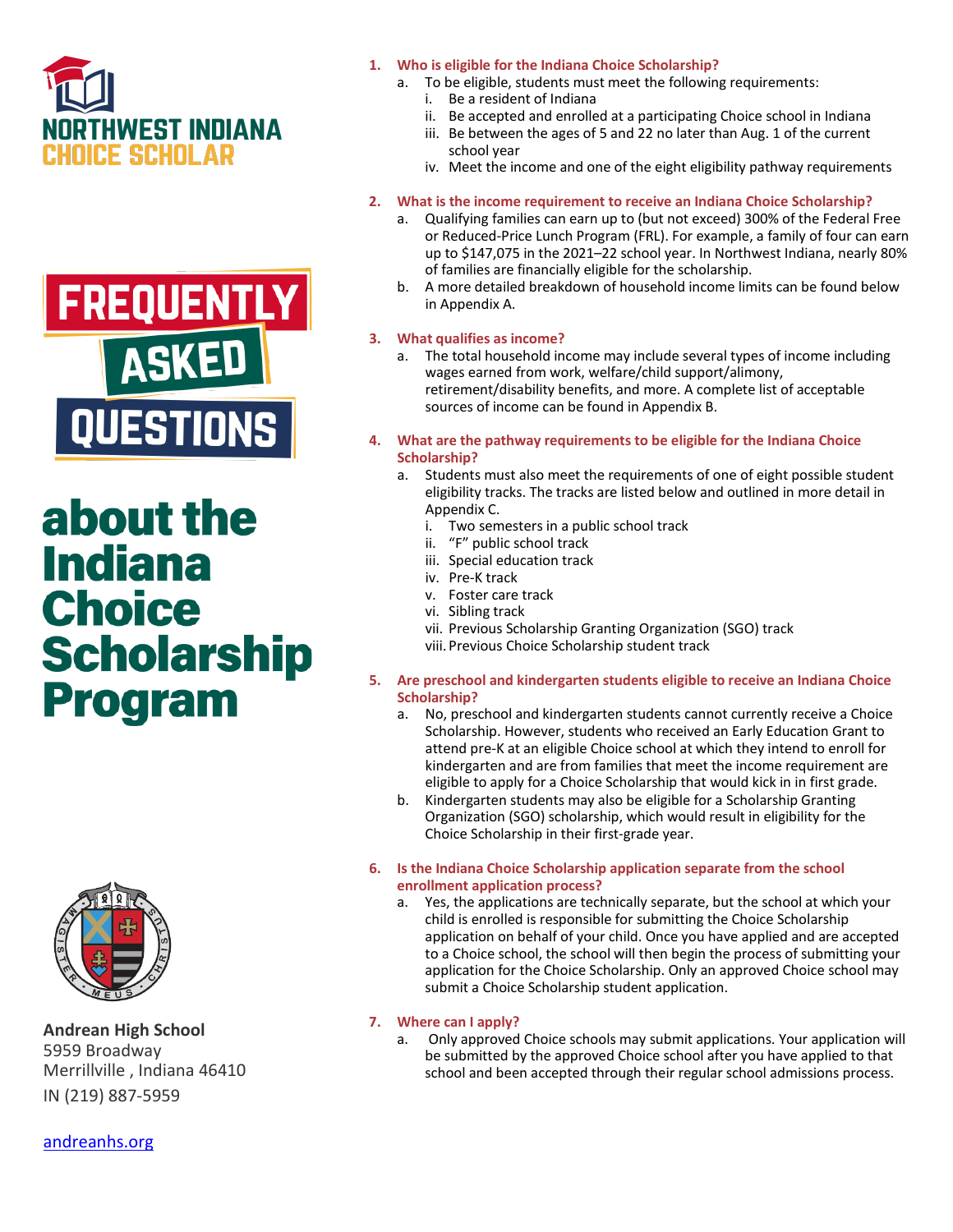



# about the **Indiana Choice Scholarship Program**



**Andrean High School** 5959 Broadway Merrillville , Indiana 46410 IN (219) 887-5959

- **1. Who is eligible for the Indiana Choice Scholarship?**
	- a. To be eligible, students must meet the following requirements:
		- i. Be a resident of Indiana
		- ii. Be accepted and enrolled at a participating Choice school in Indiana
		- iii. Be between the ages of 5 and 22 no later than Aug. 1 of the current school year
		- iv. Meet the income and one of the eight eligibility pathway requirements

### **2. What is the income requirement to receive an Indiana Choice Scholarship?**

- a. Qualifying families can earn up to (but not exceed) 300% of the Federal Free or Reduced-Price Lunch Program (FRL). For example, a family of four can earn up to \$147,075 in the 2021–22 school year. In Northwest Indiana, nearly 80% of families are financially eligible for the scholarship.
- b. A more detailed breakdown of household income limits can be found below in Appendix A.

### **3. What qualifies as income?**

- a. The total household income may include several types of income including wages earned from work, welfare/child support/alimony, retirement/disability benefits, and more. A complete list of acceptable sources of income can be found in Appendix B.
- **4. What are the pathway requirements to be eligible for the Indiana Choice Scholarship?**
	- a. Students must also meet the requirements of one of eight possible student eligibility tracks. The tracks are listed below and outlined in more detail in Appendix C.
		- i. Two semesters in a public school track
		- ii. "F" public school track
		- iii. Special education track
		- iv. Pre-K track
		- v. Foster care track
		- vi. Sibling track
		- vii. Previous Scholarship Granting Organization (SGO) track
		- viii. Previous Choice Scholarship student track
- **5. Are preschool and kindergarten students eligible to receive an Indiana Choice Scholarship?**
	- a. No, preschool and kindergarten students cannot currently receive a Choice Scholarship. However, students who received an Early Education Grant to attend pre-K at an eligible Choice school at which they intend to enroll for kindergarten and are from families that meet the income requirement are eligible to apply for a Choice Scholarship that would kick in in first grade.
	- b. Kindergarten students may also be eligible for a Scholarship Granting Organization (SGO) scholarship, which would result in eligibility for the Choice Scholarship in their first-grade year.
- **6. Is the Indiana Choice Scholarship application separate from the school enrollment application process?**
	- a. Yes, the applications are technically separate, but the school at which your child is enrolled is responsible for submitting the Choice Scholarship application on behalf of your child. Once you have applied and are accepted to a Choice school, the school will then begin the process of submitting your application for the Choice Scholarship. Only an approved Choice school may submit a Choice Scholarship student application.

### **7. Where can I apply?**

a. Only approved Choice schools may submit applications. Your application will be submitted by the approved Choice school after you have applied to that school and been accepted through their regular school admissions process.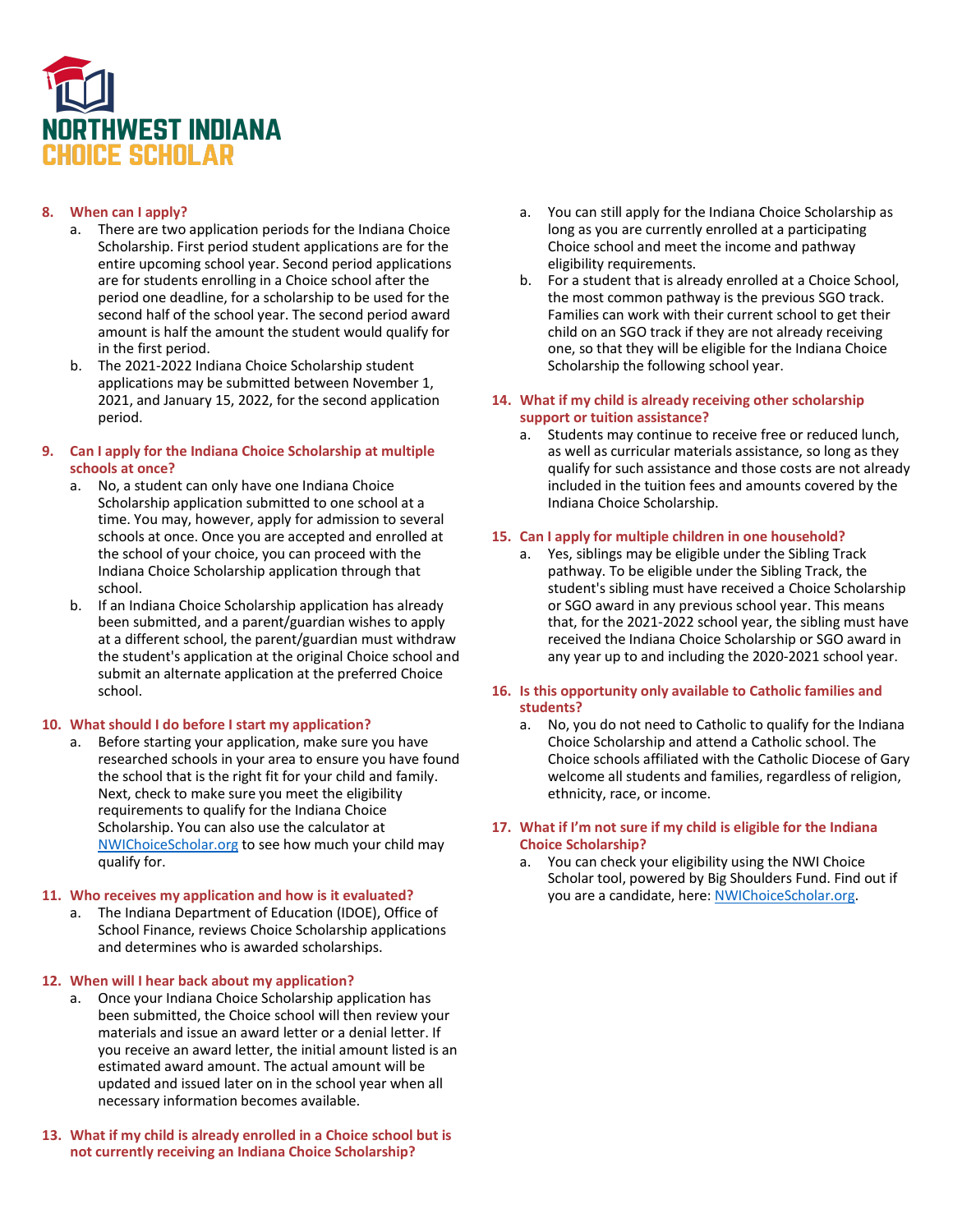

### **8. When can I apply?**

- a. There are two application periods for the Indiana Choice Scholarship. First period student applications are for the entire upcoming school year. Second period applications are for students enrolling in a Choice school after the period one deadline, for a scholarship to be used for the second half of the school year. The second period award amount is half the amount the student would qualify for in the first period.
- b. The 2021-2022 Indiana Choice Scholarship student applications may be submitted between November 1, 2021, and January 15, 2022, for the second application period.

#### **9. Can I apply for the Indiana Choice Scholarship at multiple schools at once?**

- a. No, a student can only have one Indiana Choice Scholarship application submitted to one school at a time. You may, however, apply for admission to several schools at once. Once you are accepted and enrolled at the school of your choice, you can proceed with the Indiana Choice Scholarship application through that school.
- b. If an Indiana Choice Scholarship application has already been submitted, and a parent/guardian wishes to apply at a different school, the parent/guardian must withdraw the student's application at the original Choice school and submit an alternate application at the preferred Choice school.

#### **10. What should I do before I start my application?**

a. Before starting your application, make sure you have researched schools in your area to ensure you have found the school that is the right fit for your child and family. Next, check to make sure you meet the eligibility requirements to qualify for the Indiana Choice Scholarship. You can also use the calculator at [NWIChoiceScholar.org](https://nwichoicescholar.org/) to see how much your child may qualify for.

#### **11. Who receives my application and how is it evaluated?**

a. The Indiana Department of Education (IDOE), Office of School Finance, reviews Choice Scholarship applications and determines who is awarded scholarships.

#### **12. When will I hear back about my application?**

- a. Once your Indiana Choice Scholarship application has been submitted, the Choice school will then review your materials and issue an award letter or a denial letter. If you receive an award letter, the initial amount listed is an estimated award amount. The actual amount will be updated and issued later on in the school year when all necessary information becomes available.
- **13. What if my child is already enrolled in a Choice school but is not currently receiving an Indiana Choice Scholarship?**
- a. You can still apply for the Indiana Choice Scholarship as long as you are currently enrolled at a participating Choice school and meet the income and pathway eligibility requirements.
- b. For a student that is already enrolled at a Choice School, the most common pathway is the previous SGO track. Families can work with their current school to get their child on an SGO track if they are not already receiving one, so that they will be eligible for the Indiana Choice Scholarship the following school year.

#### **14. What if my child is already receiving other scholarship support or tuition assistance?**

a. Students may continue to receive free or reduced lunch, as well as curricular materials assistance, so long as they qualify for such assistance and those costs are not already included in the tuition fees and amounts covered by the Indiana Choice Scholarship.

#### **15. Can I apply for multiple children in one household?**

a. Yes, siblings may be eligible under the Sibling Track pathway. To be eligible under the Sibling Track, the student's sibling must have received a Choice Scholarship or SGO award in any previous school year. This means that, for the 2021-2022 school year, the sibling must have received the Indiana Choice Scholarship or SGO award in any year up to and including the 2020-2021 school year.

#### **16. Is this opportunity only available to Catholic families and students?**

a. No, you do not need to Catholic to qualify for the Indiana Choice Scholarship and attend a Catholic school. The Choice schools affiliated with the Catholic Diocese of Gary welcome all students and families, regardless of religion, ethnicity, race, or income.

#### **17. What if I'm not sure if my child is eligible for the Indiana Choice Scholarship?**

a. You can check your eligibility using the NWI Choice Scholar tool, powered by Big Shoulders Fund. Find out if you are a candidate, here: [NWIChoiceScholar.org.](https://nwichoicescholar.org/)